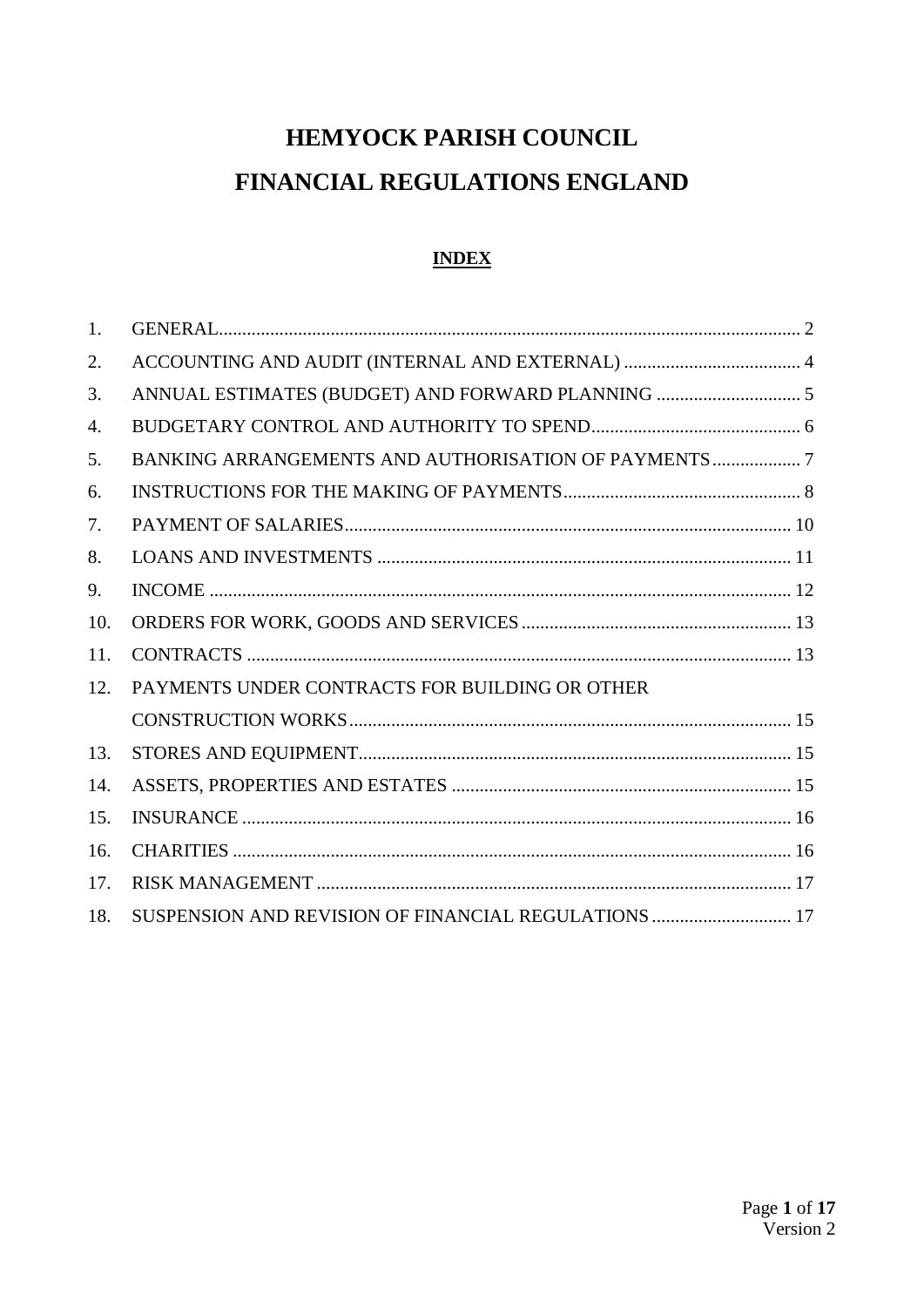# HEMYOCK PARISH COUNCIL FINANCIAL REGULATIONS ENGLAND

# **INDEX**

| 1.  |                                                      |
|-----|------------------------------------------------------|
| 2.  |                                                      |
| 3.  |                                                      |
| 4.  |                                                      |
| 5.  |                                                      |
| 6.  |                                                      |
| 7.  |                                                      |
| 8.  |                                                      |
| 9.  |                                                      |
| 10. |                                                      |
| 11. |                                                      |
| 12. | PAYMENTS UNDER CONTRACTS FOR BUILDING OR OTHER       |
|     |                                                      |
| 13. |                                                      |
| 14. |                                                      |
| 15. |                                                      |
| 16. |                                                      |
| 17. |                                                      |
| 18. | SUSPENSION AND REVISION OF FINANCIAL REGULATIONS  17 |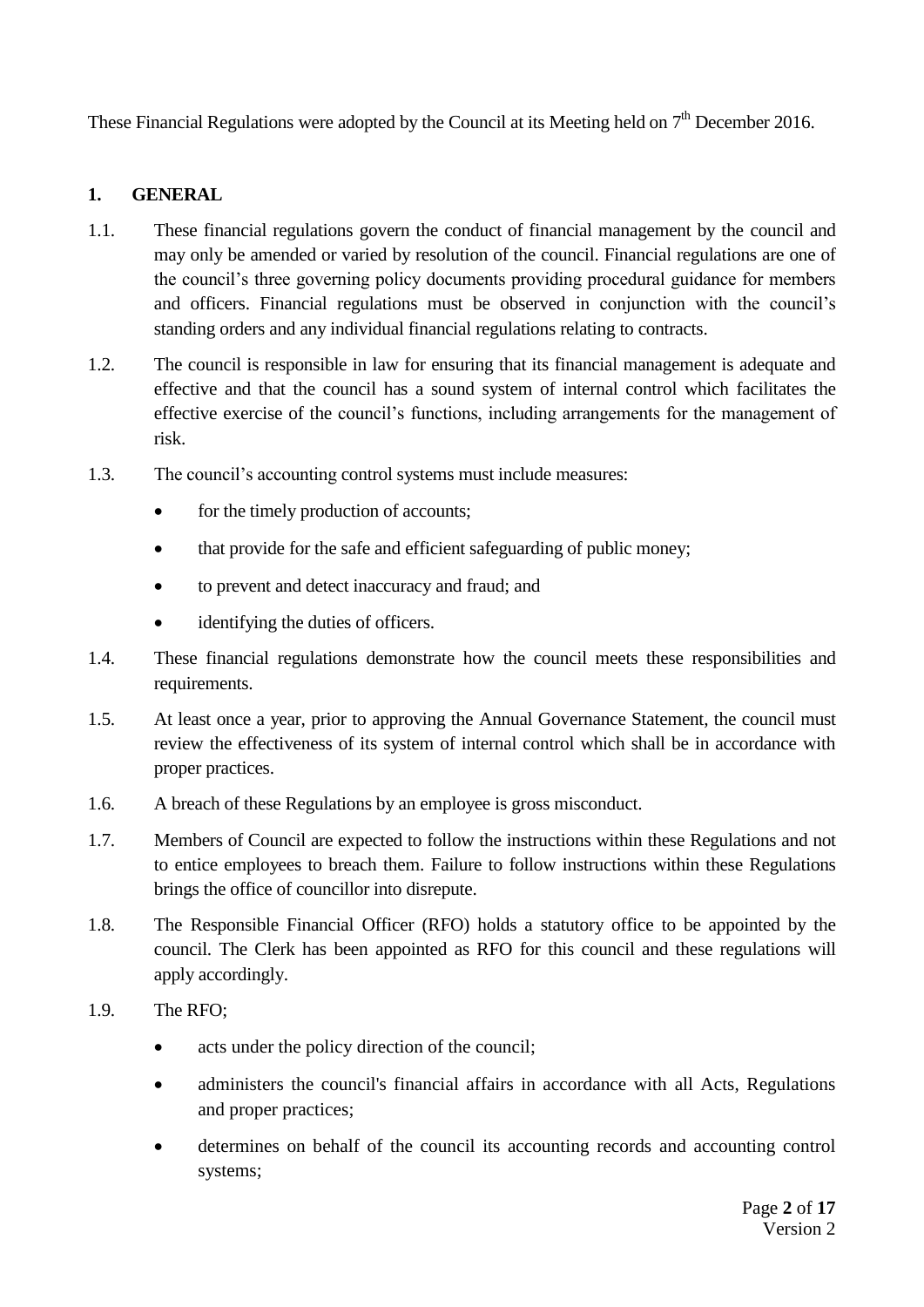These Financial Regulations were adopted by the Council at its Meeting held on  $7<sup>th</sup>$  December 2016.

### <span id="page-1-0"></span>**1. GENERAL**

- 1.1. These financial regulations govern the conduct of financial management by the council and may only be amended or varied by resolution of the council. Financial regulations are one of the council's three governing policy documents providing procedural guidance for members and officers. Financial regulations must be observed in conjunction with the council's standing orders and any individual financial regulations relating to contracts.
- 1.2. The council is responsible in law for ensuring that its financial management is adequate and effective and that the council has a sound system of internal control which facilitates the effective exercise of the council's functions, including arrangements for the management of risk.
- 1.3. The council's accounting control systems must include measures:
	- for the timely production of accounts;
	- that provide for the safe and efficient safeguarding of public money;
	- to prevent and detect inaccuracy and fraud; and
	- identifying the duties of officers.
- 1.4. These financial regulations demonstrate how the council meets these responsibilities and requirements.
- 1.5. At least once a year, prior to approving the Annual Governance Statement, the council must review the effectiveness of its system of internal control which shall be in accordance with proper practices.
- 1.6. A breach of these Regulations by an employee is gross misconduct.
- 1.7. Members of Council are expected to follow the instructions within these Regulations and not to entice employees to breach them. Failure to follow instructions within these Regulations brings the office of councillor into disrepute.
- 1.8. The Responsible Financial Officer (RFO) holds a statutory office to be appointed by the council. The Clerk has been appointed as RFO for this council and these regulations will apply accordingly.
- 1.9. The RFO;
	- acts under the policy direction of the council;
	- administers the council's financial affairs in accordance with all Acts, Regulations and proper practices;
	- determines on behalf of the council its accounting records and accounting control systems;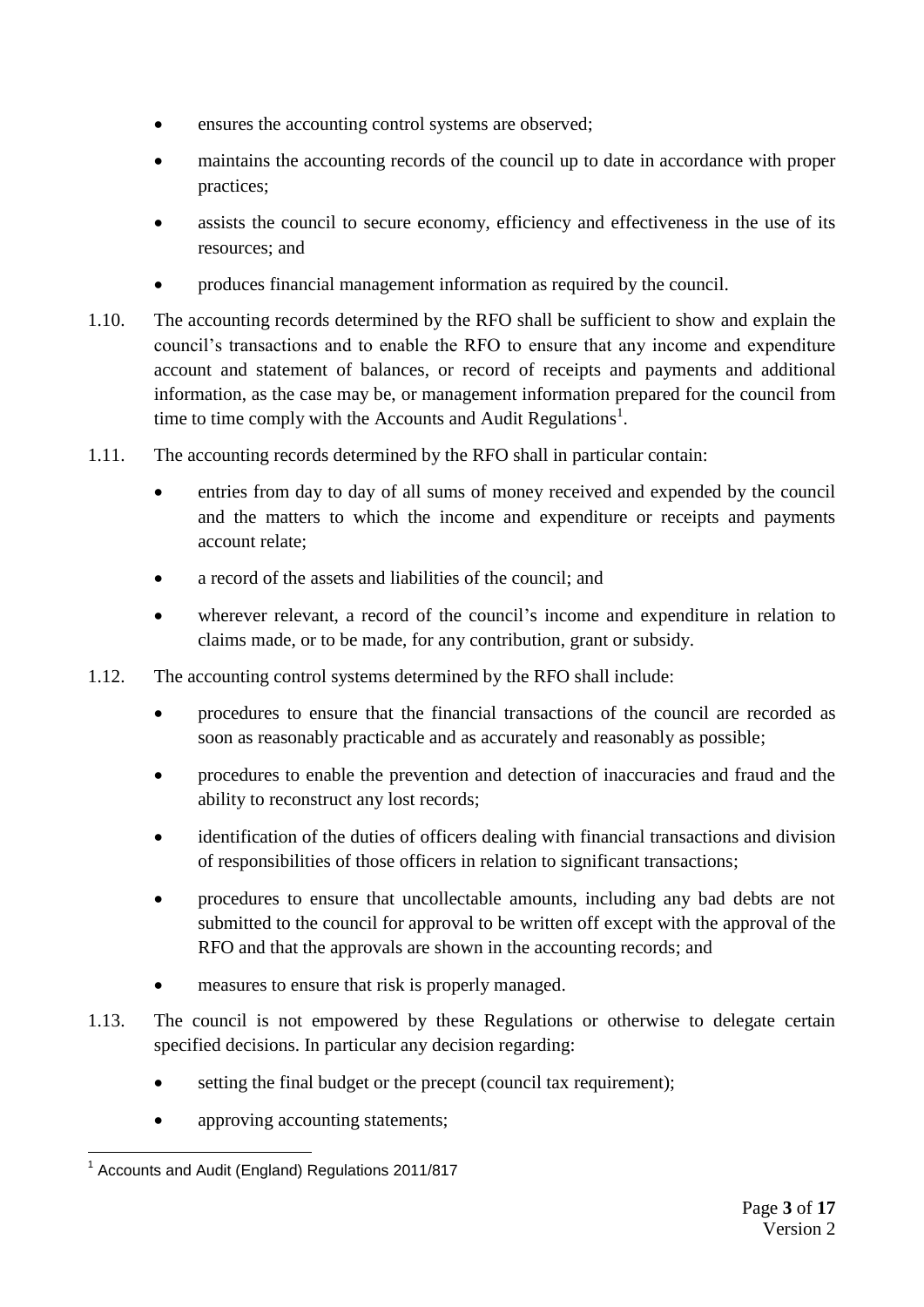- ensures the accounting control systems are observed;
- maintains the accounting records of the council up to date in accordance with proper practices;
- assists the council to secure economy, efficiency and effectiveness in the use of its resources; and
- produces financial management information as required by the council.
- 1.10. The accounting records determined by the RFO shall be sufficient to show and explain the council's transactions and to enable the RFO to ensure that any income and expenditure account and statement of balances, or record of receipts and payments and additional information, as the case may be, or management information prepared for the council from time to time comply with the Accounts and Audit Regulations<sup>1</sup>.
- 1.11. The accounting records determined by the RFO shall in particular contain:
	- entries from day to day of all sums of money received and expended by the council and the matters to which the income and expenditure or receipts and payments account relate;
	- a record of the assets and liabilities of the council; and
	- wherever relevant, a record of the council's income and expenditure in relation to claims made, or to be made, for any contribution, grant or subsidy.
- 1.12. The accounting control systems determined by the RFO shall include:
	- procedures to ensure that the financial transactions of the council are recorded as soon as reasonably practicable and as accurately and reasonably as possible;
	- procedures to enable the prevention and detection of inaccuracies and fraud and the ability to reconstruct any lost records;
	- identification of the duties of officers dealing with financial transactions and division of responsibilities of those officers in relation to significant transactions;
	- procedures to ensure that uncollectable amounts, including any bad debts are not submitted to the council for approval to be written off except with the approval of the RFO and that the approvals are shown in the accounting records; and
	- measures to ensure that risk is properly managed.
- 1.13. The council is not empowered by these Regulations or otherwise to delegate certain specified decisions. In particular any decision regarding:
	- setting the final budget or the precept (council tax requirement);
	- approving accounting statements;

<sup>1</sup> <sup>1</sup> Accounts and Audit (England) Regulations 2011/817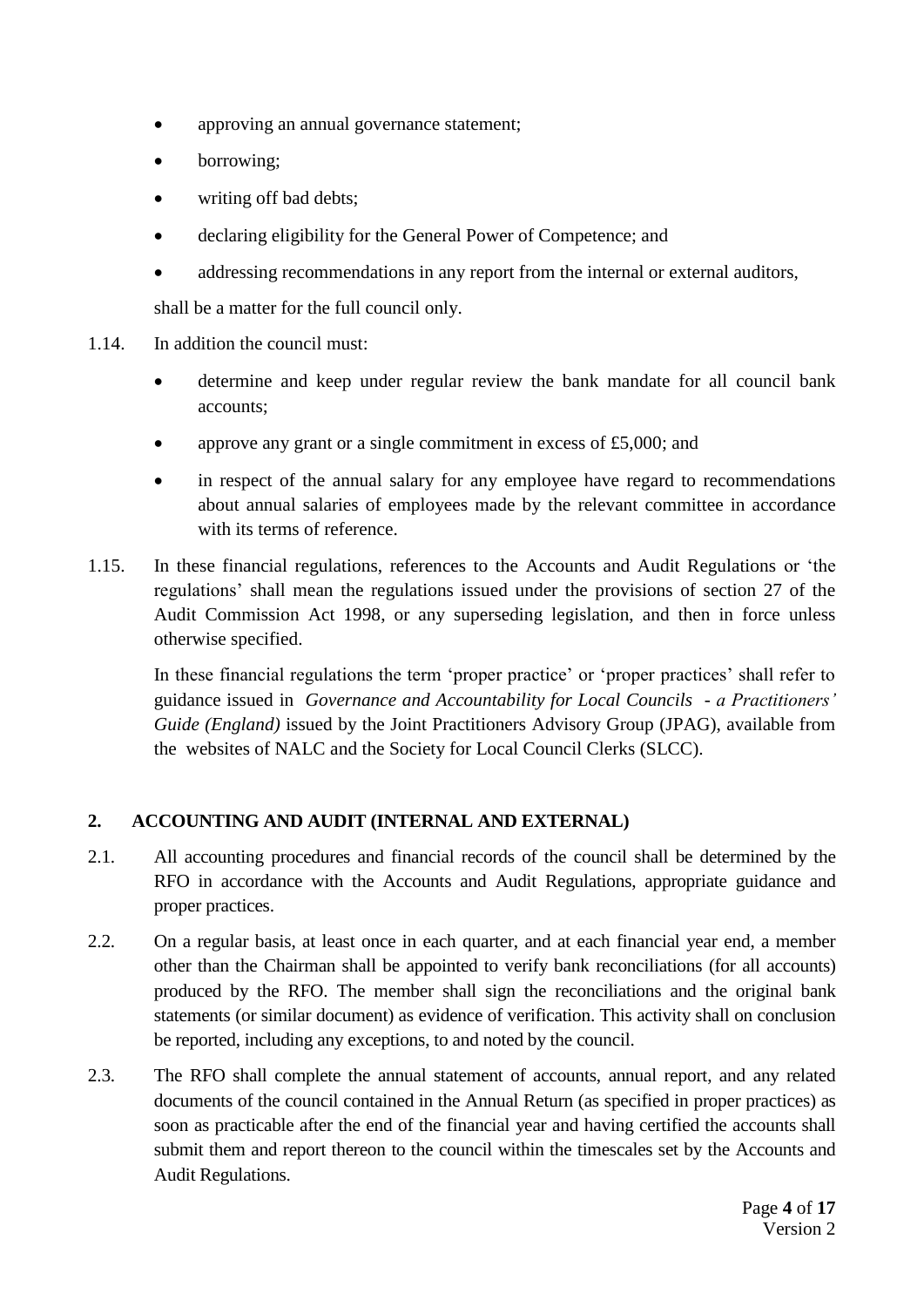- approving an annual governance statement;
- borrowing;
- writing off bad debts;
- declaring eligibility for the General Power of Competence; and
- addressing recommendations in any report from the internal or external auditors,

shall be a matter for the full council only.

- 1.14. In addition the council must:
	- determine and keep under regular review the bank mandate for all council bank accounts;
	- approve any grant or a single commitment in excess of £5,000; and
	- in respect of the annual salary for any employee have regard to recommendations about annual salaries of employees made by the relevant committee in accordance with its terms of reference.
- 1.15. In these financial regulations, references to the Accounts and Audit Regulations or 'the regulations' shall mean the regulations issued under the provisions of section 27 of the Audit Commission Act 1998, or any superseding legislation, and then in force unless otherwise specified.

In these financial regulations the term 'proper practice' or 'proper practices' shall refer to guidance issued in *Governance and Accountability for Local Councils - a Practitioners' Guide (England)* issued by the Joint Practitioners Advisory Group (JPAG), available from the websites of NALC and the Society for Local Council Clerks (SLCC).

# <span id="page-3-0"></span>**2. ACCOUNTING AND AUDIT (INTERNAL AND EXTERNAL)**

- 2.1. All accounting procedures and financial records of the council shall be determined by the RFO in accordance with the Accounts and Audit Regulations, appropriate guidance and proper practices.
- 2.2. On a regular basis, at least once in each quarter, and at each financial year end, a member other than the Chairman shall be appointed to verify bank reconciliations (for all accounts) produced by the RFO. The member shall sign the reconciliations and the original bank statements (or similar document) as evidence of verification. This activity shall on conclusion be reported, including any exceptions, to and noted by the council.
- 2.3. The RFO shall complete the annual statement of accounts, annual report, and any related documents of the council contained in the Annual Return (as specified in proper practices) as soon as practicable after the end of the financial year and having certified the accounts shall submit them and report thereon to the council within the timescales set by the Accounts and Audit Regulations.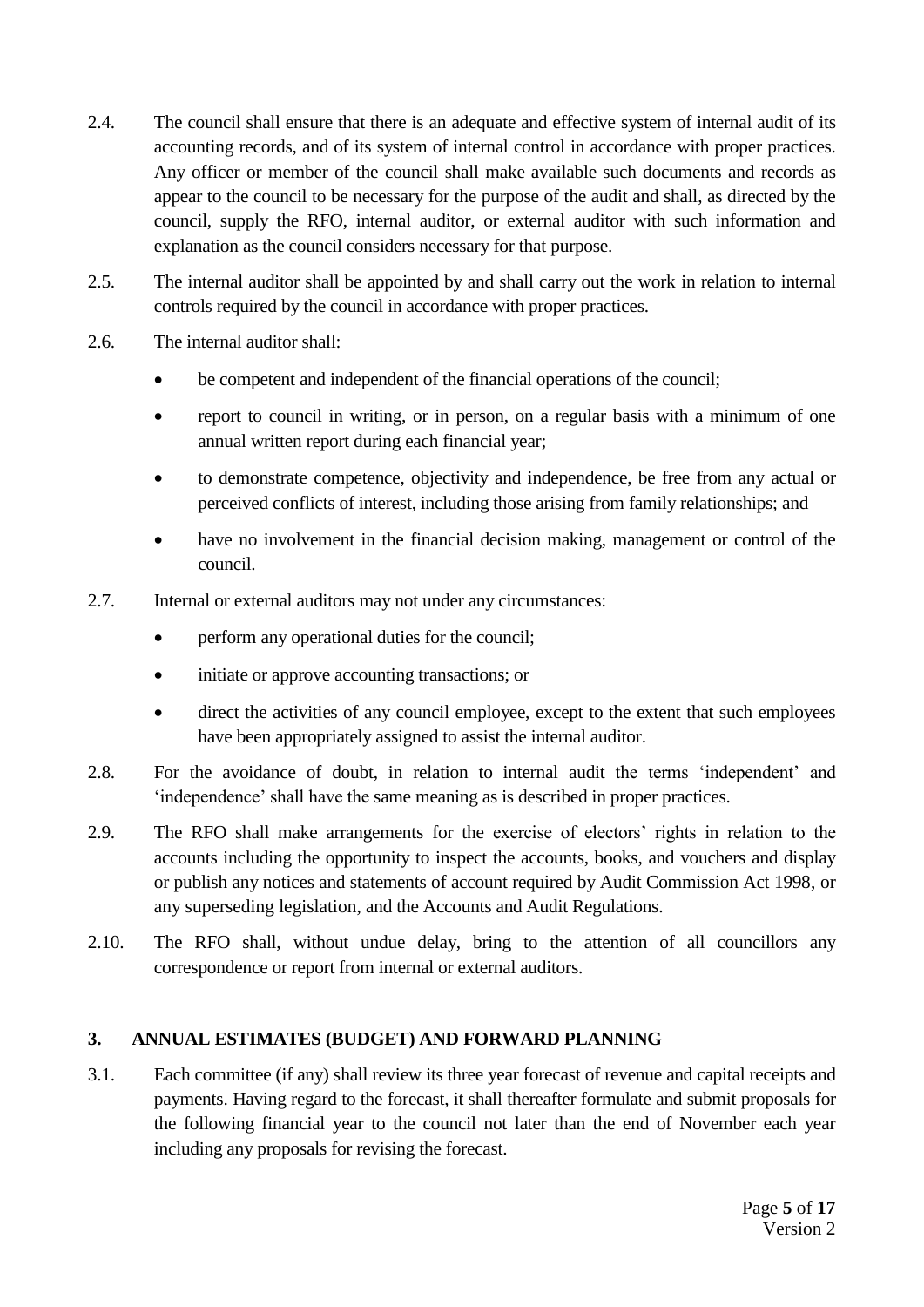- 2.4. The council shall ensure that there is an adequate and effective system of internal audit of its accounting records, and of its system of internal control in accordance with proper practices. Any officer or member of the council shall make available such documents and records as appear to the council to be necessary for the purpose of the audit and shall, as directed by the council, supply the RFO, internal auditor, or external auditor with such information and explanation as the council considers necessary for that purpose.
- 2.5. The internal auditor shall be appointed by and shall carry out the work in relation to internal controls required by the council in accordance with proper practices.
- 2.6. The internal auditor shall:
	- be competent and independent of the financial operations of the council;
	- report to council in writing, or in person, on a regular basis with a minimum of one annual written report during each financial year;
	- to demonstrate competence, objectivity and independence, be free from any actual or perceived conflicts of interest, including those arising from family relationships; and
	- have no involvement in the financial decision making, management or control of the council.
- 2.7. Internal or external auditors may not under any circumstances:
	- perform any operational duties for the council;
	- initiate or approve accounting transactions; or
	- direct the activities of any council employee, except to the extent that such employees have been appropriately assigned to assist the internal auditor.
- 2.8. For the avoidance of doubt, in relation to internal audit the terms 'independent' and 'independence' shall have the same meaning as is described in proper practices.
- 2.9. The RFO shall make arrangements for the exercise of electors' rights in relation to the accounts including the opportunity to inspect the accounts, books, and vouchers and display or publish any notices and statements of account required by Audit Commission Act 1998, or any superseding legislation, and the Accounts and Audit Regulations.
- 2.10. The RFO shall, without undue delay, bring to the attention of all councillors any correspondence or report from internal or external auditors.

#### <span id="page-4-0"></span>**3. ANNUAL ESTIMATES (BUDGET) AND FORWARD PLANNING**

3.1. Each committee (if any) shall review its three year forecast of revenue and capital receipts and payments. Having regard to the forecast, it shall thereafter formulate and submit proposals for the following financial year to the council not later than the end of November each year including any proposals for revising the forecast.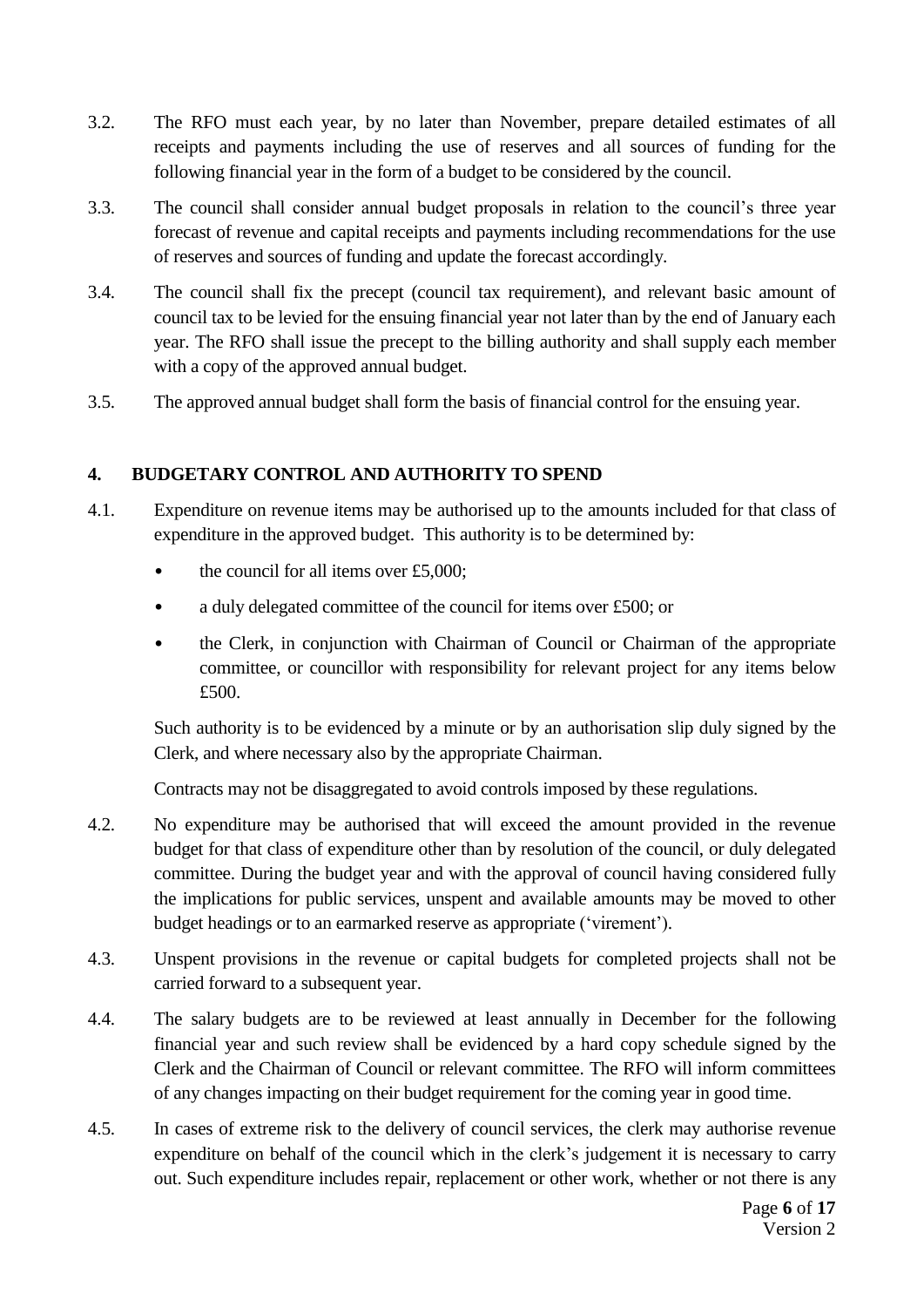- 3.2. The RFO must each year, by no later than November, prepare detailed estimates of all receipts and payments including the use of reserves and all sources of funding for the following financial year in the form of a budget to be considered by the council.
- 3.3. The council shall consider annual budget proposals in relation to the council's three year forecast of revenue and capital receipts and payments including recommendations for the use of reserves and sources of funding and update the forecast accordingly.
- 3.4. The council shall fix the precept (council tax requirement), and relevant basic amount of council tax to be levied for the ensuing financial year not later than by the end of January each year. The RFO shall issue the precept to the billing authority and shall supply each member with a copy of the approved annual budget.
- 3.5. The approved annual budget shall form the basis of financial control for the ensuing year.

#### <span id="page-5-0"></span>**4. BUDGETARY CONTROL AND AUTHORITY TO SPEND**

- 4.1. Expenditure on revenue items may be authorised up to the amounts included for that class of expenditure in the approved budget. This authority is to be determined by:
	- the council for all items over  $£5,000$ :
	- a duly delegated committee of the council for items over £500; or
	- the Clerk, in conjunction with Chairman of Council or Chairman of the appropriate committee, or councillor with responsibility for relevant project for any items below £500.

Such authority is to be evidenced by a minute or by an authorisation slip duly signed by the Clerk, and where necessary also by the appropriate Chairman.

Contracts may not be disaggregated to avoid controls imposed by these regulations.

- 4.2. No expenditure may be authorised that will exceed the amount provided in the revenue budget for that class of expenditure other than by resolution of the council, or duly delegated committee. During the budget year and with the approval of council having considered fully the implications for public services, unspent and available amounts may be moved to other budget headings or to an earmarked reserve as appropriate ('virement').
- 4.3. Unspent provisions in the revenue or capital budgets for completed projects shall not be carried forward to a subsequent year.
- 4.4. The salary budgets are to be reviewed at least annually in December for the following financial year and such review shall be evidenced by a hard copy schedule signed by the Clerk and the Chairman of Council or relevant committee. The RFO will inform committees of any changes impacting on their budget requirement for the coming year in good time.
- 4.5. In cases of extreme risk to the delivery of council services, the clerk may authorise revenue expenditure on behalf of the council which in the clerk's judgement it is necessary to carry out. Such expenditure includes repair, replacement or other work, whether or not there is any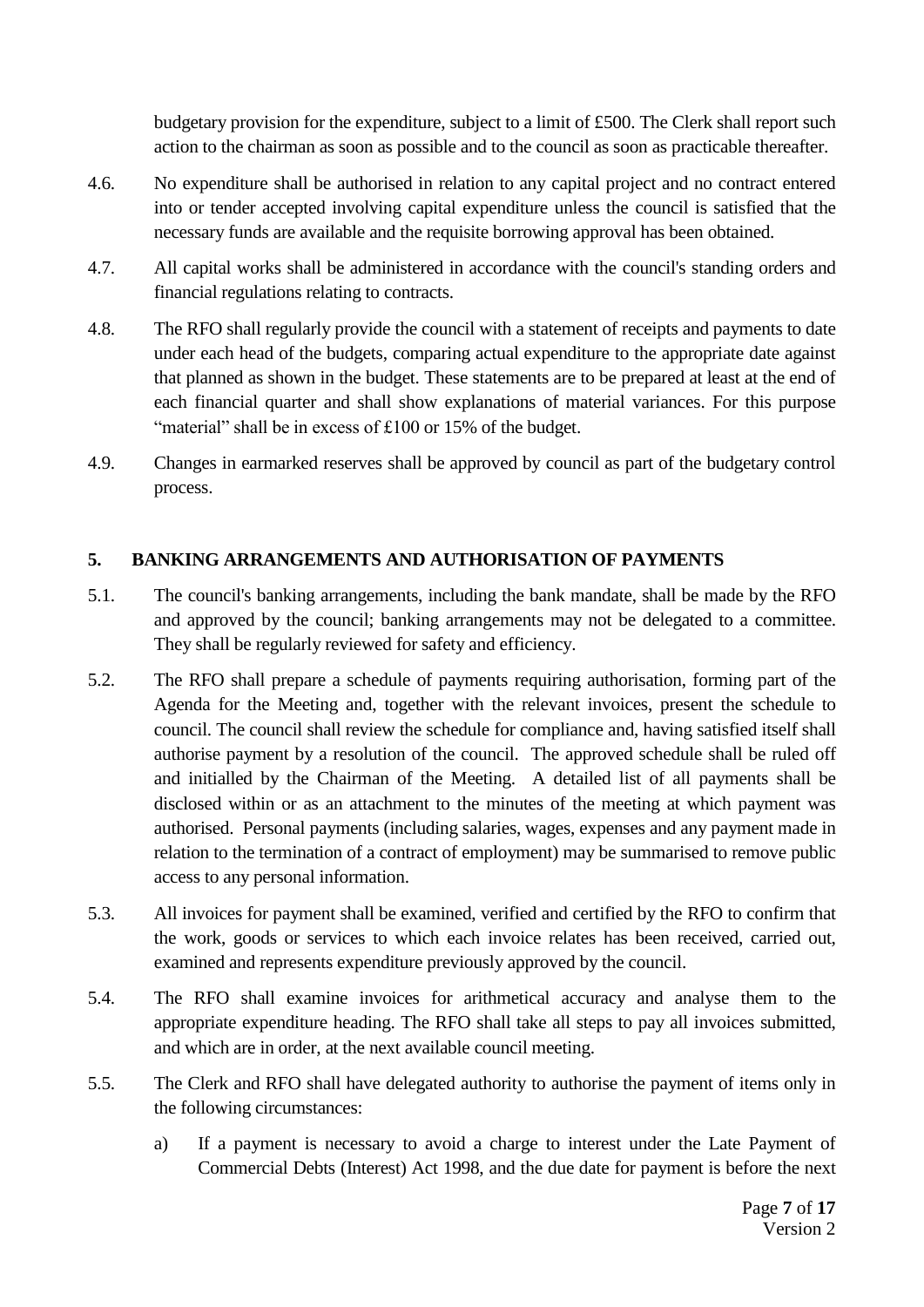budgetary provision for the expenditure, subject to a limit of £500. The Clerk shall report such action to the chairman as soon as possible and to the council as soon as practicable thereafter.

- 4.6. No expenditure shall be authorised in relation to any capital project and no contract entered into or tender accepted involving capital expenditure unless the council is satisfied that the necessary funds are available and the requisite borrowing approval has been obtained.
- 4.7. All capital works shall be administered in accordance with the council's standing orders and financial regulations relating to contracts.
- 4.8. The RFO shall regularly provide the council with a statement of receipts and payments to date under each head of the budgets, comparing actual expenditure to the appropriate date against that planned as shown in the budget. These statements are to be prepared at least at the end of each financial quarter and shall show explanations of material variances. For this purpose "material" shall be in excess of £100 or 15% of the budget.
- 4.9. Changes in earmarked reserves shall be approved by council as part of the budgetary control process.

# <span id="page-6-0"></span>**5. BANKING ARRANGEMENTS AND AUTHORISATION OF PAYMENTS**

- 5.1. The council's banking arrangements, including the bank mandate, shall be made by the RFO and approved by the council; banking arrangements may not be delegated to a committee. They shall be regularly reviewed for safety and efficiency.
- 5.2. The RFO shall prepare a schedule of payments requiring authorisation, forming part of the Agenda for the Meeting and, together with the relevant invoices, present the schedule to council. The council shall review the schedule for compliance and, having satisfied itself shall authorise payment by a resolution of the council. The approved schedule shall be ruled off and initialled by the Chairman of the Meeting. A detailed list of all payments shall be disclosed within or as an attachment to the minutes of the meeting at which payment was authorised. Personal payments (including salaries, wages, expenses and any payment made in relation to the termination of a contract of employment) may be summarised to remove public access to any personal information.
- 5.3. All invoices for payment shall be examined, verified and certified by the RFO to confirm that the work, goods or services to which each invoice relates has been received, carried out, examined and represents expenditure previously approved by the council.
- 5.4. The RFO shall examine invoices for arithmetical accuracy and analyse them to the appropriate expenditure heading. The RFO shall take all steps to pay all invoices submitted, and which are in order, at the next available council meeting.
- 5.5. The Clerk and RFO shall have delegated authority to authorise the payment of items only in the following circumstances:
	- a) If a payment is necessary to avoid a charge to interest under the Late Payment of Commercial Debts (Interest) Act 1998, and the due date for payment is before the next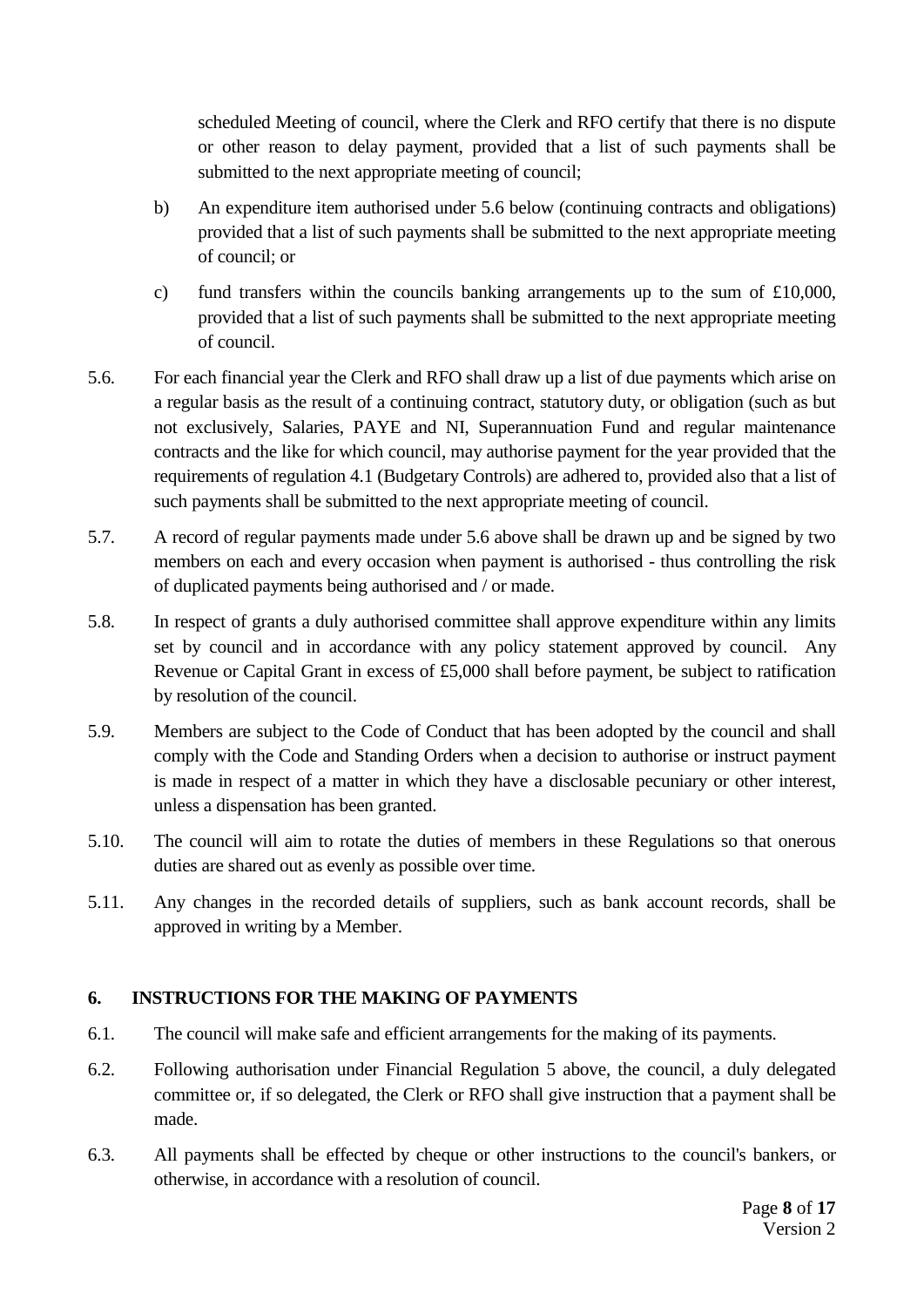scheduled Meeting of council, where the Clerk and RFO certify that there is no dispute or other reason to delay payment, provided that a list of such payments shall be submitted to the next appropriate meeting of council;

- b) An expenditure item authorised under 5.6 below (continuing contracts and obligations) provided that a list of such payments shall be submitted to the next appropriate meeting of council; or
- c) fund transfers within the councils banking arrangements up to the sum of  $£10,000$ , provided that a list of such payments shall be submitted to the next appropriate meeting of council.
- 5.6. For each financial year the Clerk and RFO shall draw up a list of due payments which arise on a regular basis as the result of a continuing contract, statutory duty, or obligation (such as but not exclusively, Salaries, PAYE and NI, Superannuation Fund and regular maintenance contracts and the like for which council, may authorise payment for the year provided that the requirements of regulation 4.1 (Budgetary Controls) are adhered to, provided also that a list of such payments shall be submitted to the next appropriate meeting of council.
- 5.7. A record of regular payments made under 5.6 above shall be drawn up and be signed by two members on each and every occasion when payment is authorised - thus controlling the risk of duplicated payments being authorised and / or made.
- 5.8. In respect of grants a duly authorised committee shall approve expenditure within any limits set by council and in accordance with any policy statement approved by council. Any Revenue or Capital Grant in excess of £5,000 shall before payment, be subject to ratification by resolution of the council.
- 5.9. Members are subject to the Code of Conduct that has been adopted by the council and shall comply with the Code and Standing Orders when a decision to authorise or instruct payment is made in respect of a matter in which they have a disclosable pecuniary or other interest, unless a dispensation has been granted.
- 5.10. The council will aim to rotate the duties of members in these Regulations so that onerous duties are shared out as evenly as possible over time.
- 5.11. Any changes in the recorded details of suppliers, such as bank account records, shall be approved in writing by a Member.

# <span id="page-7-0"></span>**6. INSTRUCTIONS FOR THE MAKING OF PAYMENTS**

- 6.1. The council will make safe and efficient arrangements for the making of its payments.
- 6.2. Following authorisation under Financial Regulation 5 above, the council, a duly delegated committee or, if so delegated, the Clerk or RFO shall give instruction that a payment shall be made.
- 6.3. All payments shall be effected by cheque or other instructions to the council's bankers, or otherwise, in accordance with a resolution of council.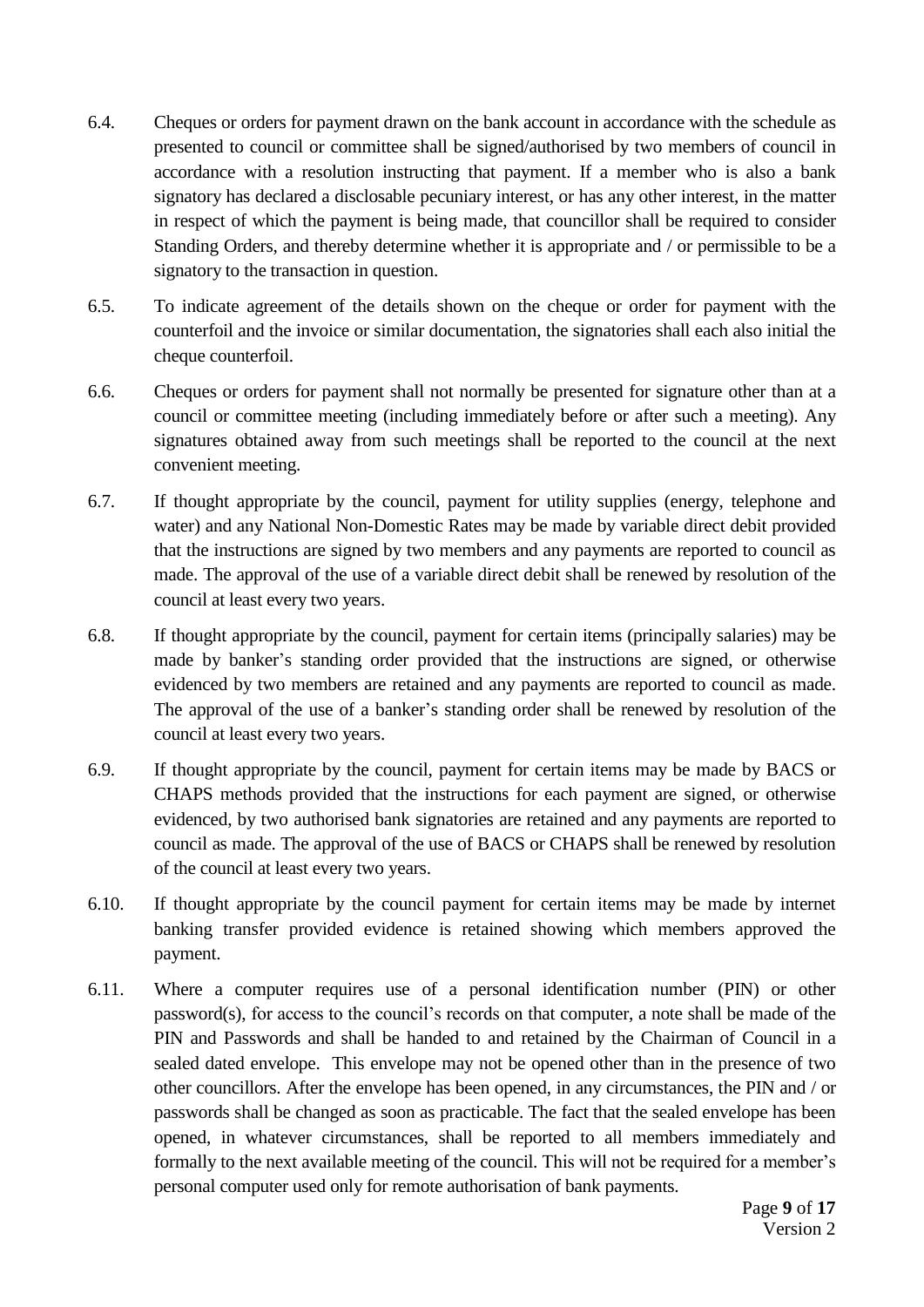- 6.4. Cheques or orders for payment drawn on the bank account in accordance with the schedule as presented to council or committee shall be signed/authorised by two members of council in accordance with a resolution instructing that payment. If a member who is also a bank signatory has declared a disclosable pecuniary interest, or has any other interest, in the matter in respect of which the payment is being made, that councillor shall be required to consider Standing Orders, and thereby determine whether it is appropriate and / or permissible to be a signatory to the transaction in question.
- 6.5. To indicate agreement of the details shown on the cheque or order for payment with the counterfoil and the invoice or similar documentation, the signatories shall each also initial the cheque counterfoil.
- 6.6. Cheques or orders for payment shall not normally be presented for signature other than at a council or committee meeting (including immediately before or after such a meeting). Any signatures obtained away from such meetings shall be reported to the council at the next convenient meeting.
- 6.7. If thought appropriate by the council, payment for utility supplies (energy, telephone and water) and any National Non-Domestic Rates may be made by variable direct debit provided that the instructions are signed by two members and any payments are reported to council as made. The approval of the use of a variable direct debit shall be renewed by resolution of the council at least every two years.
- 6.8. If thought appropriate by the council, payment for certain items (principally salaries) may be made by banker's standing order provided that the instructions are signed, or otherwise evidenced by two members are retained and any payments are reported to council as made. The approval of the use of a banker's standing order shall be renewed by resolution of the council at least every two years.
- 6.9. If thought appropriate by the council, payment for certain items may be made by BACS or CHAPS methods provided that the instructions for each payment are signed, or otherwise evidenced, by two authorised bank signatories are retained and any payments are reported to council as made. The approval of the use of BACS or CHAPS shall be renewed by resolution of the council at least every two years.
- 6.10. If thought appropriate by the council payment for certain items may be made by internet banking transfer provided evidence is retained showing which members approved the payment.
- 6.11. Where a computer requires use of a personal identification number (PIN) or other password(s), for access to the council's records on that computer, a note shall be made of the PIN and Passwords and shall be handed to and retained by the Chairman of Council in a sealed dated envelope. This envelope may not be opened other than in the presence of two other councillors. After the envelope has been opened, in any circumstances, the PIN and / or passwords shall be changed as soon as practicable. The fact that the sealed envelope has been opened, in whatever circumstances, shall be reported to all members immediately and formally to the next available meeting of the council. This will not be required for a member's personal computer used only for remote authorisation of bank payments.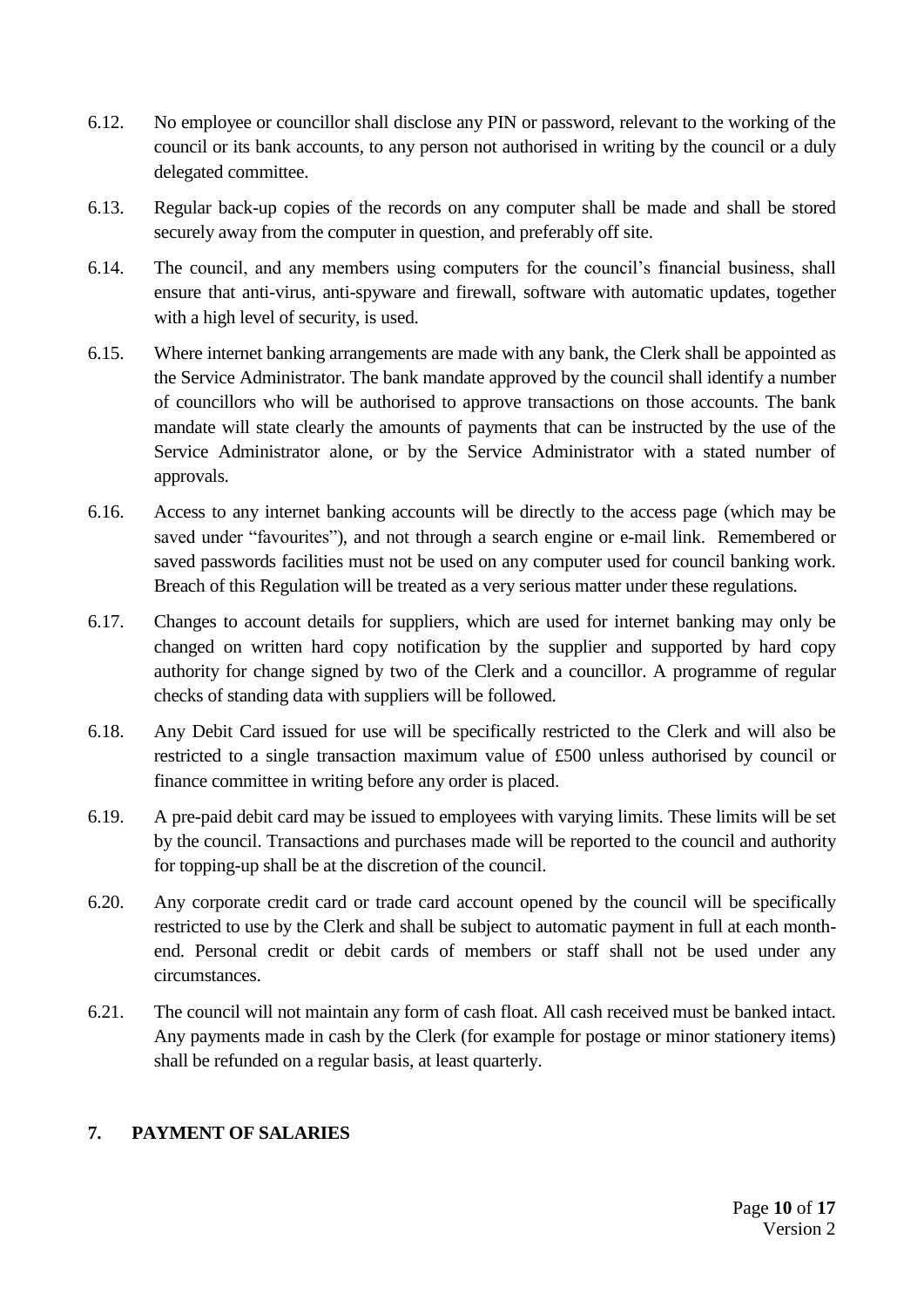- 6.12. No employee or councillor shall disclose any PIN or password, relevant to the working of the council or its bank accounts, to any person not authorised in writing by the council or a duly delegated committee.
- 6.13. Regular back-up copies of the records on any computer shall be made and shall be stored securely away from the computer in question, and preferably off site.
- 6.14. The council, and any members using computers for the council's financial business, shall ensure that anti-virus, anti-spyware and firewall, software with automatic updates, together with a high level of security, is used.
- 6.15. Where internet banking arrangements are made with any bank, the Clerk shall be appointed as the Service Administrator. The bank mandate approved by the council shall identify a number of councillors who will be authorised to approve transactions on those accounts. The bank mandate will state clearly the amounts of payments that can be instructed by the use of the Service Administrator alone, or by the Service Administrator with a stated number of approvals.
- 6.16. Access to any internet banking accounts will be directly to the access page (which may be saved under "favourites"), and not through a search engine or e-mail link. Remembered or saved passwords facilities must not be used on any computer used for council banking work. Breach of this Regulation will be treated as a very serious matter under these regulations.
- 6.17. Changes to account details for suppliers, which are used for internet banking may only be changed on written hard copy notification by the supplier and supported by hard copy authority for change signed by two of the Clerk and a councillor. A programme of regular checks of standing data with suppliers will be followed.
- 6.18. Any Debit Card issued for use will be specifically restricted to the Clerk and will also be restricted to a single transaction maximum value of £500 unless authorised by council or finance committee in writing before any order is placed.
- 6.19. A pre-paid debit card may be issued to employees with varying limits. These limits will be set by the council. Transactions and purchases made will be reported to the council and authority for topping-up shall be at the discretion of the council.
- 6.20. Any corporate credit card or trade card account opened by the council will be specifically restricted to use by the Clerk and shall be subject to automatic payment in full at each monthend. Personal credit or debit cards of members or staff shall not be used under any circumstances.
- 6.21. The council will not maintain any form of cash float. All cash received must be banked intact. Any payments made in cash by the Clerk (for example for postage or minor stationery items) shall be refunded on a regular basis, at least quarterly.

# <span id="page-9-0"></span>**7. PAYMENT OF SALARIES**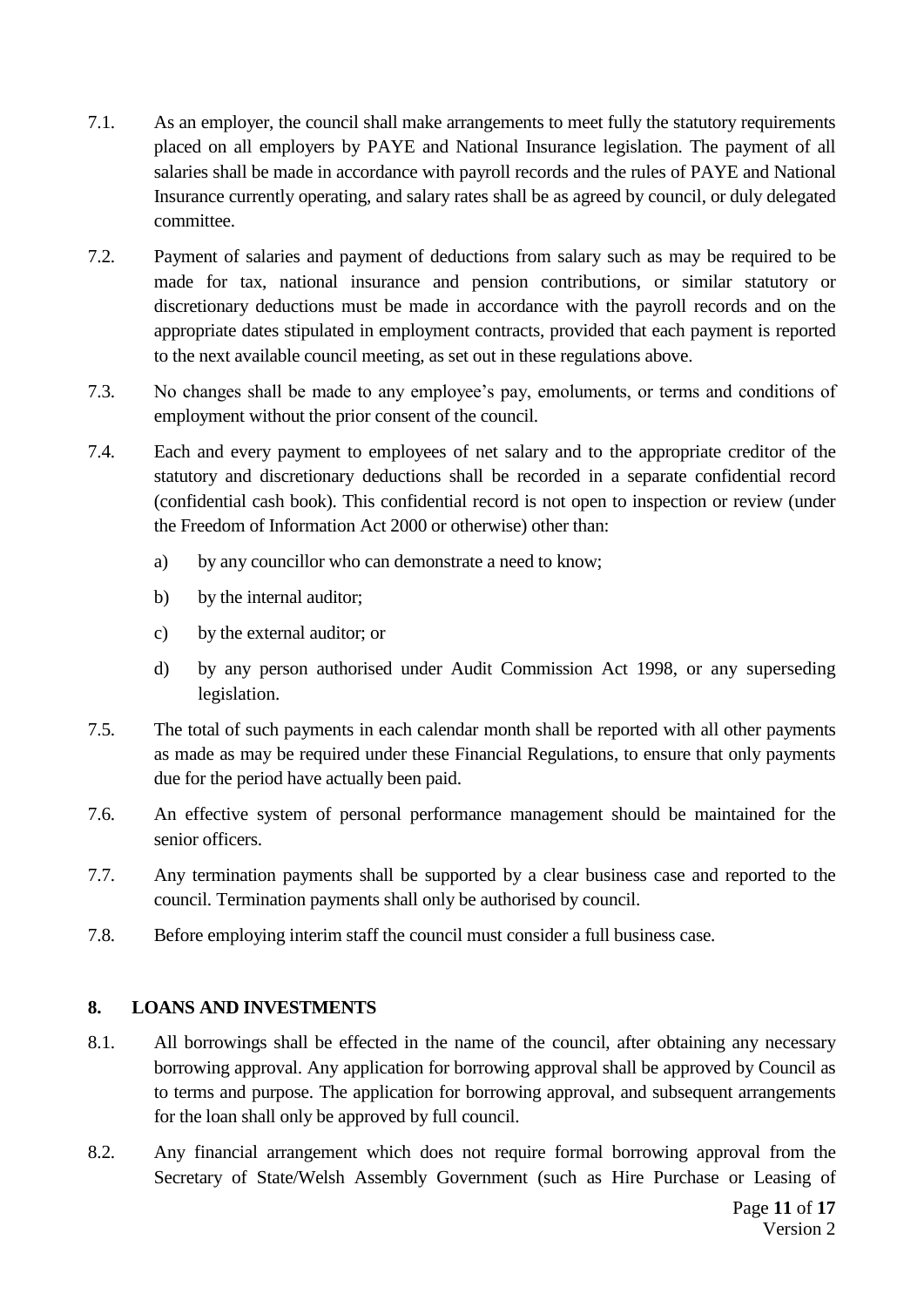- 7.1. As an employer, the council shall make arrangements to meet fully the statutory requirements placed on all employers by PAYE and National Insurance legislation. The payment of all salaries shall be made in accordance with payroll records and the rules of PAYE and National Insurance currently operating, and salary rates shall be as agreed by council, or duly delegated committee.
- 7.2. Payment of salaries and payment of deductions from salary such as may be required to be made for tax, national insurance and pension contributions, or similar statutory or discretionary deductions must be made in accordance with the payroll records and on the appropriate dates stipulated in employment contracts, provided that each payment is reported to the next available council meeting, as set out in these regulations above.
- 7.3. No changes shall be made to any employee's pay, emoluments, or terms and conditions of employment without the prior consent of the council.
- 7.4. Each and every payment to employees of net salary and to the appropriate creditor of the statutory and discretionary deductions shall be recorded in a separate confidential record (confidential cash book). This confidential record is not open to inspection or review (under the Freedom of Information Act 2000 or otherwise) other than:
	- a) by any councillor who can demonstrate a need to know;
	- b) by the internal auditor;
	- c) by the external auditor; or
	- d) by any person authorised under Audit Commission Act 1998, or any superseding legislation.
- 7.5. The total of such payments in each calendar month shall be reported with all other payments as made as may be required under these Financial Regulations, to ensure that only payments due for the period have actually been paid.
- 7.6. An effective system of personal performance management should be maintained for the senior officers.
- 7.7. Any termination payments shall be supported by a clear business case and reported to the council. Termination payments shall only be authorised by council.
- 7.8. Before employing interim staff the council must consider a full business case.

# <span id="page-10-0"></span>**8. LOANS AND INVESTMENTS**

- 8.1. All borrowings shall be effected in the name of the council, after obtaining any necessary borrowing approval. Any application for borrowing approval shall be approved by Council as to terms and purpose. The application for borrowing approval, and subsequent arrangements for the loan shall only be approved by full council.
- 8.2. Any financial arrangement which does not require formal borrowing approval from the Secretary of State/Welsh Assembly Government (such as Hire Purchase or Leasing of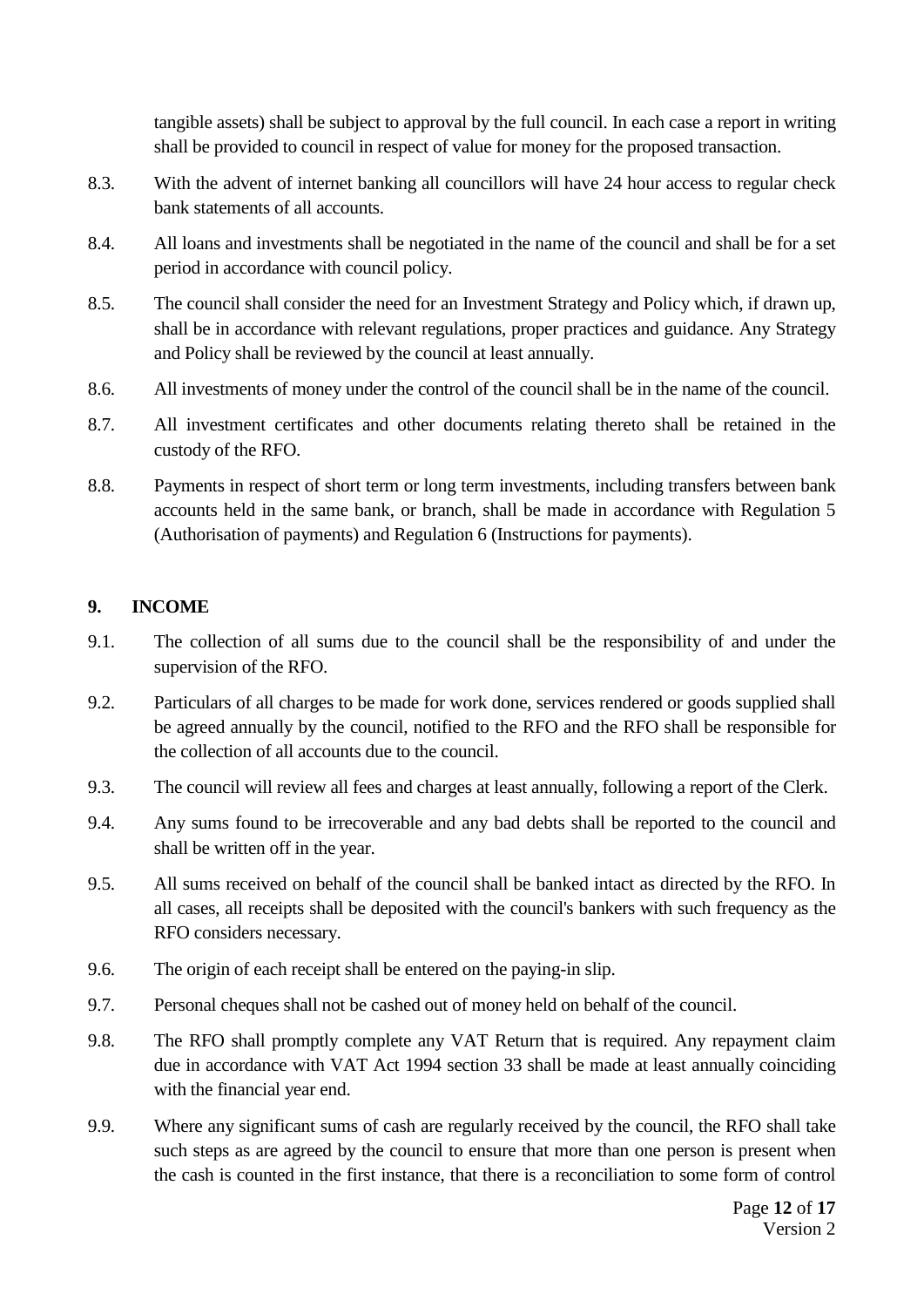tangible assets) shall be subject to approval by the full council. In each case a report in writing shall be provided to council in respect of value for money for the proposed transaction.

- 8.3. With the advent of internet banking all councillors will have 24 hour access to regular check bank statements of all accounts.
- 8.4. All loans and investments shall be negotiated in the name of the council and shall be for a set period in accordance with council policy.
- 8.5. The council shall consider the need for an Investment Strategy and Policy which, if drawn up, shall be in accordance with relevant regulations, proper practices and guidance. Any Strategy and Policy shall be reviewed by the council at least annually.
- 8.6. All investments of money under the control of the council shall be in the name of the council.
- 8.7. All investment certificates and other documents relating thereto shall be retained in the custody of the RFO.
- 8.8. Payments in respect of short term or long term investments, including transfers between bank accounts held in the same bank, or branch, shall be made in accordance with Regulation 5 (Authorisation of payments) and Regulation 6 (Instructions for payments).

#### <span id="page-11-0"></span>**9. INCOME**

- 9.1. The collection of all sums due to the council shall be the responsibility of and under the supervision of the RFO.
- 9.2. Particulars of all charges to be made for work done, services rendered or goods supplied shall be agreed annually by the council, notified to the RFO and the RFO shall be responsible for the collection of all accounts due to the council.
- 9.3. The council will review all fees and charges at least annually, following a report of the Clerk.
- 9.4. Any sums found to be irrecoverable and any bad debts shall be reported to the council and shall be written off in the year.
- 9.5. All sums received on behalf of the council shall be banked intact as directed by the RFO. In all cases, all receipts shall be deposited with the council's bankers with such frequency as the RFO considers necessary.
- 9.6. The origin of each receipt shall be entered on the paying-in slip.
- 9.7. Personal cheques shall not be cashed out of money held on behalf of the council.
- 9.8. The RFO shall promptly complete any VAT Return that is required. Any repayment claim due in accordance with VAT Act 1994 section 33 shall be made at least annually coinciding with the financial year end.
- 9.9. Where any significant sums of cash are regularly received by the council, the RFO shall take such steps as are agreed by the council to ensure that more than one person is present when the cash is counted in the first instance, that there is a reconciliation to some form of control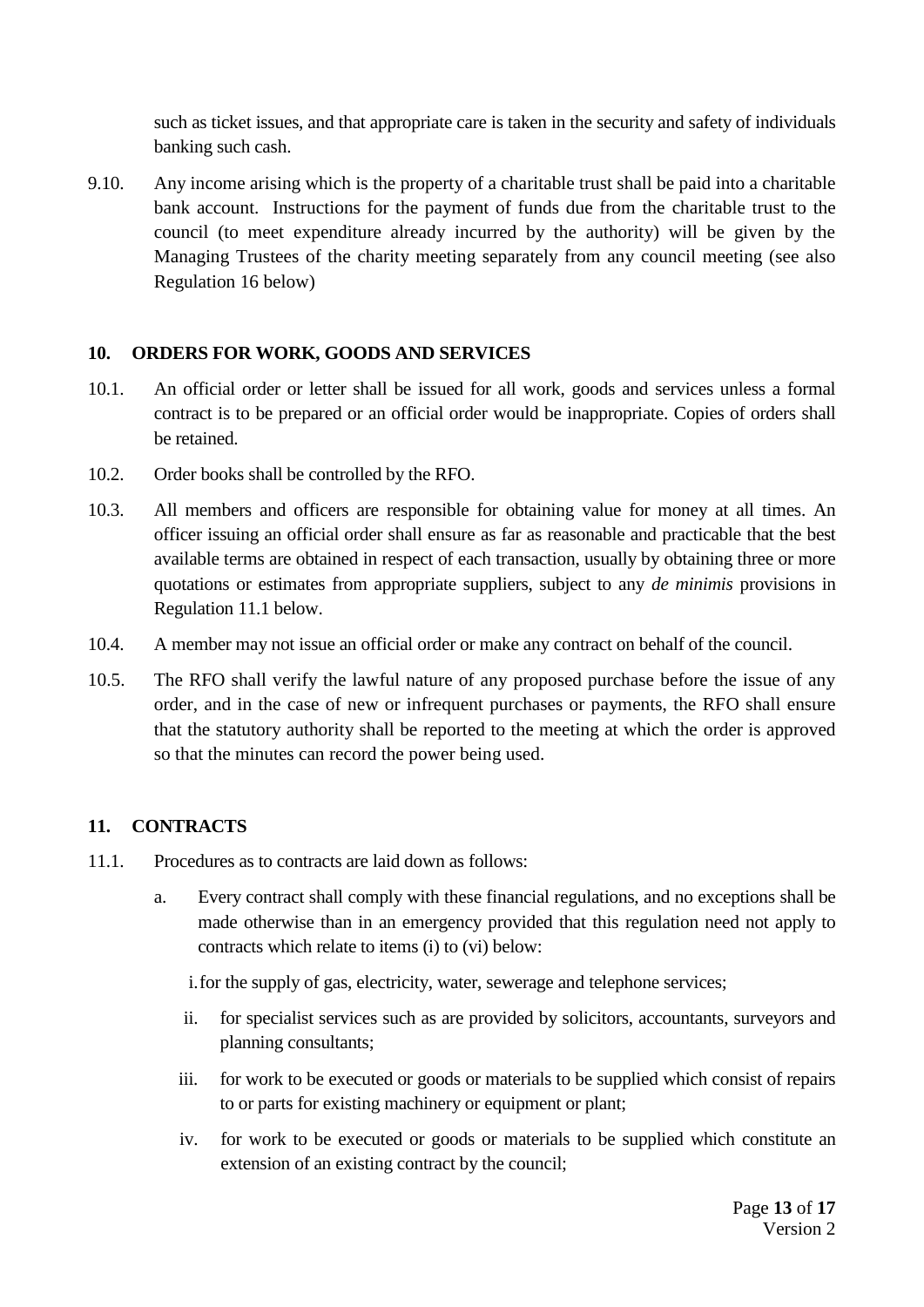such as ticket issues, and that appropriate care is taken in the security and safety of individuals banking such cash.

9.10. Any income arising which is the property of a charitable trust shall be paid into a charitable bank account. Instructions for the payment of funds due from the charitable trust to the council (to meet expenditure already incurred by the authority) will be given by the Managing Trustees of the charity meeting separately from any council meeting (see also Regulation 16 below)

#### <span id="page-12-0"></span>**10. ORDERS FOR WORK, GOODS AND SERVICES**

- 10.1. An official order or letter shall be issued for all work, goods and services unless a formal contract is to be prepared or an official order would be inappropriate. Copies of orders shall be retained.
- 10.2. Order books shall be controlled by the RFO.
- 10.3. All members and officers are responsible for obtaining value for money at all times. An officer issuing an official order shall ensure as far as reasonable and practicable that the best available terms are obtained in respect of each transaction, usually by obtaining three or more quotations or estimates from appropriate suppliers, subject to any *de minimis* provisions in Regulation 11.1 below.
- 10.4. A member may not issue an official order or make any contract on behalf of the council.
- 10.5. The RFO shall verify the lawful nature of any proposed purchase before the issue of any order, and in the case of new or infrequent purchases or payments, the RFO shall ensure that the statutory authority shall be reported to the meeting at which the order is approved so that the minutes can record the power being used.

# <span id="page-12-1"></span>**11. CONTRACTS**

- 11.1. Procedures as to contracts are laid down as follows:
	- a. Every contract shall comply with these financial regulations, and no exceptions shall be made otherwise than in an emergency provided that this regulation need not apply to contracts which relate to items (i) to (vi) below:

i.for the supply of gas, electricity, water, sewerage and telephone services;

- ii. for specialist services such as are provided by solicitors, accountants, surveyors and planning consultants;
- iii. for work to be executed or goods or materials to be supplied which consist of repairs to or parts for existing machinery or equipment or plant;
- iv. for work to be executed or goods or materials to be supplied which constitute an extension of an existing contract by the council;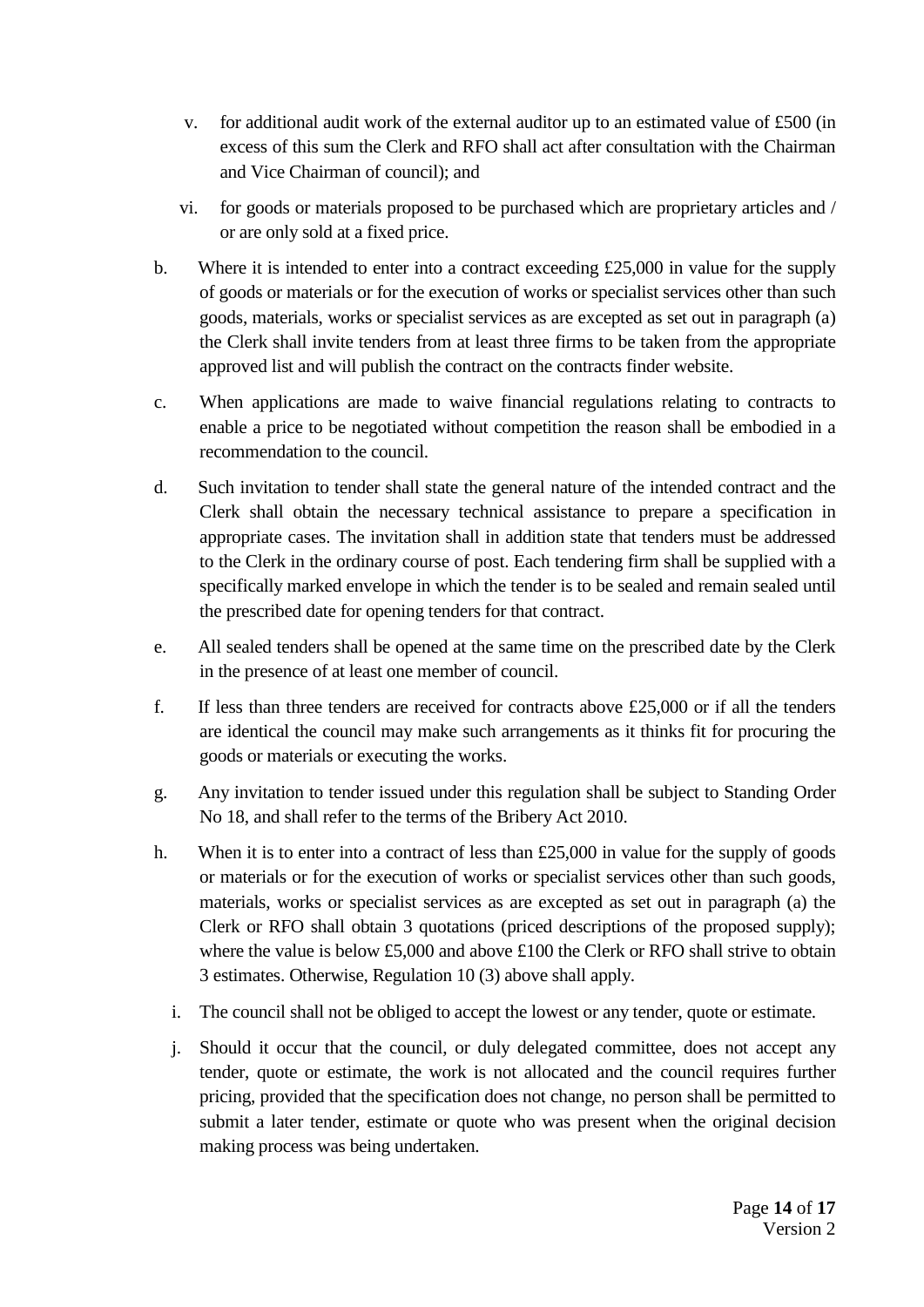- v. for additional audit work of the external auditor up to an estimated value of £500 (in excess of this sum the Clerk and RFO shall act after consultation with the Chairman and Vice Chairman of council); and
- vi. for goods or materials proposed to be purchased which are proprietary articles and / or are only sold at a fixed price.
- b. Where it is intended to enter into a contract exceeding  $£25,000$  in value for the supply of goods or materials or for the execution of works or specialist services other than such goods, materials, works or specialist services as are excepted as set out in paragraph (a) the Clerk shall invite tenders from at least three firms to be taken from the appropriate approved list and will publish the contract on the contracts finder website.
- c. When applications are made to waive financial regulations relating to contracts to enable a price to be negotiated without competition the reason shall be embodied in a recommendation to the council.
- d. Such invitation to tender shall state the general nature of the intended contract and the Clerk shall obtain the necessary technical assistance to prepare a specification in appropriate cases. The invitation shall in addition state that tenders must be addressed to the Clerk in the ordinary course of post. Each tendering firm shall be supplied with a specifically marked envelope in which the tender is to be sealed and remain sealed until the prescribed date for opening tenders for that contract.
- e. All sealed tenders shall be opened at the same time on the prescribed date by the Clerk in the presence of at least one member of council.
- f. If less than three tenders are received for contracts above  $\text{\pounds}25,000$  or if all the tenders are identical the council may make such arrangements as it thinks fit for procuring the goods or materials or executing the works.
- g. Any invitation to tender issued under this regulation shall be subject to Standing Order No 18, and shall refer to the terms of the Bribery Act 2010.
- h. When it is to enter into a contract of less than  $£25,000$  in value for the supply of goods or materials or for the execution of works or specialist services other than such goods, materials, works or specialist services as are excepted as set out in paragraph (a) the Clerk or RFO shall obtain 3 quotations (priced descriptions of the proposed supply); where the value is below £5,000 and above £100 the Clerk or RFO shall strive to obtain 3 estimates. Otherwise, Regulation 10 (3) above shall apply.
	- i. The council shall not be obliged to accept the lowest or any tender, quote or estimate.
	- j. Should it occur that the council, or duly delegated committee, does not accept any tender, quote or estimate, the work is not allocated and the council requires further pricing, provided that the specification does not change, no person shall be permitted to submit a later tender, estimate or quote who was present when the original decision making process was being undertaken.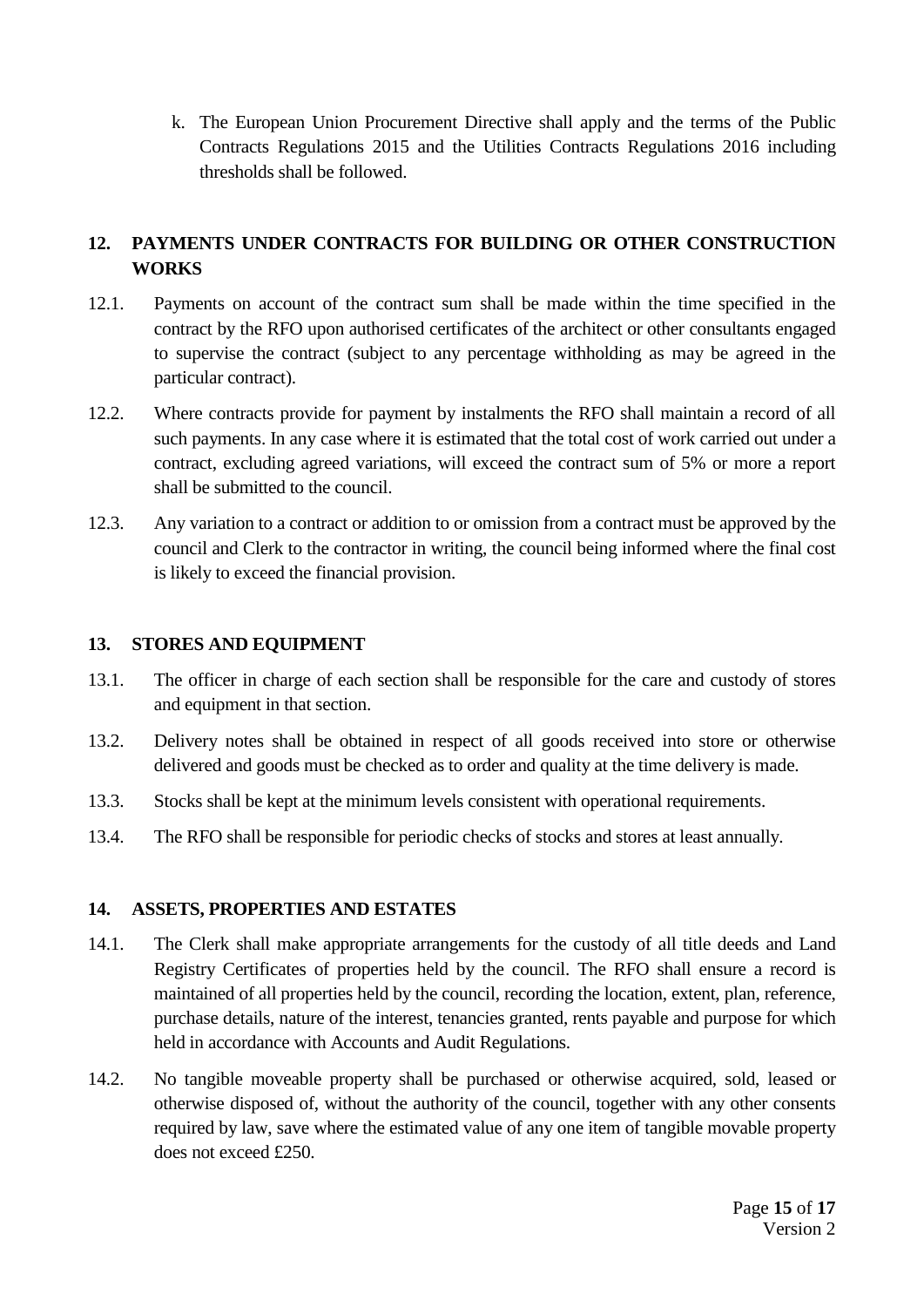k. The European Union Procurement Directive shall apply and the terms of the Public Contracts Regulations 2015 and the Utilities Contracts Regulations 2016 including thresholds shall be followed.

# <span id="page-14-0"></span>**12. PAYMENTS UNDER CONTRACTS FOR BUILDING OR OTHER CONSTRUCTION WORKS**

- 12.1. Payments on account of the contract sum shall be made within the time specified in the contract by the RFO upon authorised certificates of the architect or other consultants engaged to supervise the contract (subject to any percentage withholding as may be agreed in the particular contract).
- 12.2. Where contracts provide for payment by instalments the RFO shall maintain a record of all such payments. In any case where it is estimated that the total cost of work carried out under a contract, excluding agreed variations, will exceed the contract sum of 5% or more a report shall be submitted to the council.
- 12.3. Any variation to a contract or addition to or omission from a contract must be approved by the council and Clerk to the contractor in writing, the council being informed where the final cost is likely to exceed the financial provision.

#### <span id="page-14-1"></span>**13. STORES AND EQUIPMENT**

- 13.1. The officer in charge of each section shall be responsible for the care and custody of stores and equipment in that section.
- 13.2. Delivery notes shall be obtained in respect of all goods received into store or otherwise delivered and goods must be checked as to order and quality at the time delivery is made.
- 13.3. Stocks shall be kept at the minimum levels consistent with operational requirements.
- 13.4. The RFO shall be responsible for periodic checks of stocks and stores at least annually.

#### <span id="page-14-2"></span>**14. ASSETS, PROPERTIES AND ESTATES**

- 14.1. The Clerk shall make appropriate arrangements for the custody of all title deeds and Land Registry Certificates of properties held by the council. The RFO shall ensure a record is maintained of all properties held by the council, recording the location, extent, plan, reference, purchase details, nature of the interest, tenancies granted, rents payable and purpose for which held in accordance with Accounts and Audit Regulations.
- 14.2. No tangible moveable property shall be purchased or otherwise acquired, sold, leased or otherwise disposed of, without the authority of the council, together with any other consents required by law, save where the estimated value of any one item of tangible movable property does not exceed £250.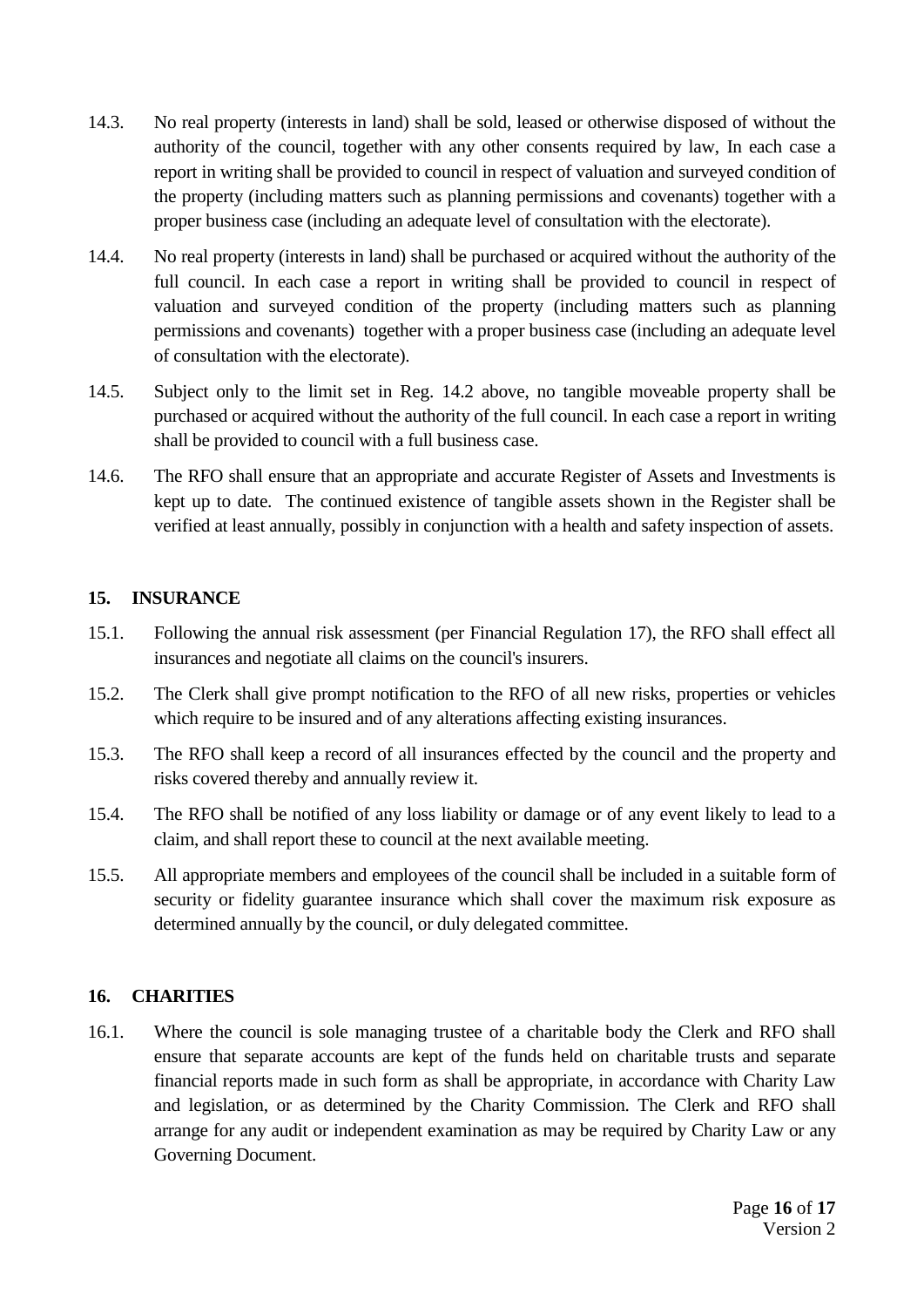- 14.3. No real property (interests in land) shall be sold, leased or otherwise disposed of without the authority of the council, together with any other consents required by law, In each case a report in writing shall be provided to council in respect of valuation and surveyed condition of the property (including matters such as planning permissions and covenants) together with a proper business case (including an adequate level of consultation with the electorate).
- 14.4. No real property (interests in land) shall be purchased or acquired without the authority of the full council. In each case a report in writing shall be provided to council in respect of valuation and surveyed condition of the property (including matters such as planning permissions and covenants) together with a proper business case (including an adequate level of consultation with the electorate).
- 14.5. Subject only to the limit set in Reg. 14.2 above, no tangible moveable property shall be purchased or acquired without the authority of the full council. In each case a report in writing shall be provided to council with a full business case.
- 14.6. The RFO shall ensure that an appropriate and accurate Register of Assets and Investments is kept up to date. The continued existence of tangible assets shown in the Register shall be verified at least annually, possibly in conjunction with a health and safety inspection of assets.

# <span id="page-15-0"></span>**15. INSURANCE**

- 15.1. Following the annual risk assessment (per Financial Regulation 17), the RFO shall effect all insurances and negotiate all claims on the council's insurers.
- 15.2. The Clerk shall give prompt notification to the RFO of all new risks, properties or vehicles which require to be insured and of any alterations affecting existing insurances.
- 15.3. The RFO shall keep a record of all insurances effected by the council and the property and risks covered thereby and annually review it.
- 15.4. The RFO shall be notified of any loss liability or damage or of any event likely to lead to a claim, and shall report these to council at the next available meeting.
- 15.5. All appropriate members and employees of the council shall be included in a suitable form of security or fidelity guarantee insurance which shall cover the maximum risk exposure as determined annually by the council, or duly delegated committee.

# <span id="page-15-1"></span>**16. CHARITIES**

16.1. Where the council is sole managing trustee of a charitable body the Clerk and RFO shall ensure that separate accounts are kept of the funds held on charitable trusts and separate financial reports made in such form as shall be appropriate, in accordance with Charity Law and legislation, or as determined by the Charity Commission. The Clerk and RFO shall arrange for any audit or independent examination as may be required by Charity Law or any Governing Document.